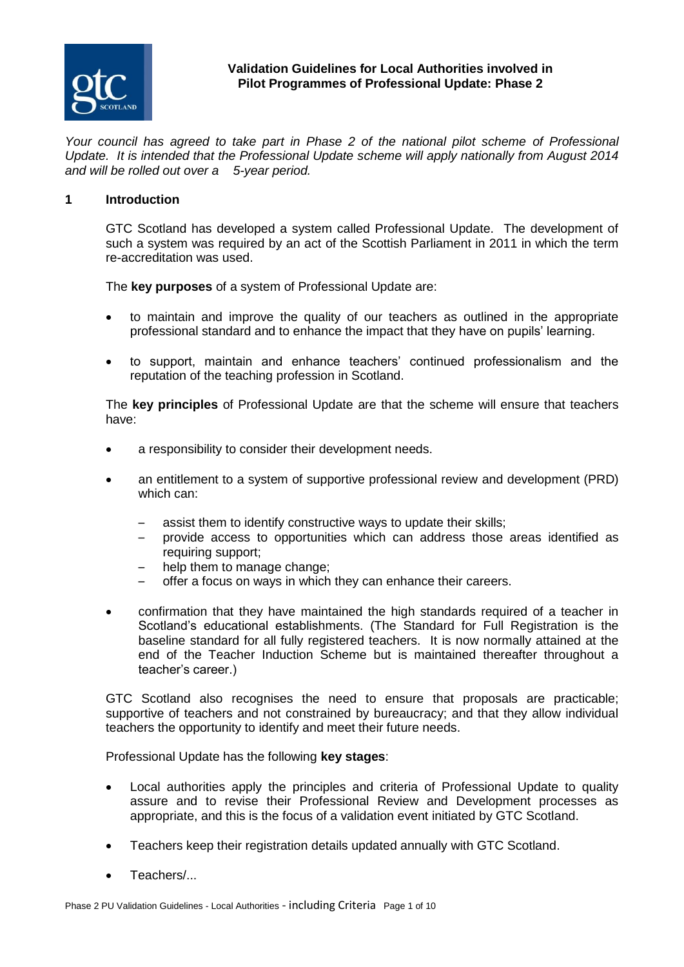

#### **Validation Guidelines for Local Authorities involved in Pilot Programmes of Professional Update: Phase 2**

*Your council has agreed to take part in Phase 2 of the national pilot scheme of Professional Update. It is intended that the Professional Update scheme will apply nationally from August 2014 and will be rolled out over a 5-year period.*

#### **1 Introduction**

GTC Scotland has developed a system called Professional Update. The development of such a system was required by an act of the Scottish Parliament in 2011 in which the term re-accreditation was used.

The **key purposes** of a system of Professional Update are:

- to maintain and improve the quality of our teachers as outlined in the appropriate professional standard and to enhance the impact that they have on pupils' learning.
- to support, maintain and enhance teachers' continued professionalism and the reputation of the teaching profession in Scotland.

The **key principles** of Professional Update are that the scheme will ensure that teachers have:

- a responsibility to consider their development needs.
- an entitlement to a system of supportive professional review and development (PRD) which can:
	- assist them to identify constructive ways to update their skills;<br>– provide access to opportunities which can address those
	- provide access to opportunities which can address those areas identified as requiring support;
	- help them to manage change:
	- offer a focus on ways in which they can enhance their careers.
- confirmation that they have maintained the high standards required of a teacher in Scotland's educational establishments. (The Standard for Full Registration is the baseline standard for all fully registered teachers. It is now normally attained at the end of the Teacher Induction Scheme but is maintained thereafter throughout a teacher's career.)

GTC Scotland also recognises the need to ensure that proposals are practicable; supportive of teachers and not constrained by bureaucracy; and that they allow individual teachers the opportunity to identify and meet their future needs.

Professional Update has the following **key stages**:

- Local authorities apply the principles and criteria of Professional Update to quality assure and to revise their Professional Review and Development processes as appropriate, and this is the focus of a validation event initiated by GTC Scotland.
- Teachers keep their registration details updated annually with GTC Scotland.
- Teachers/...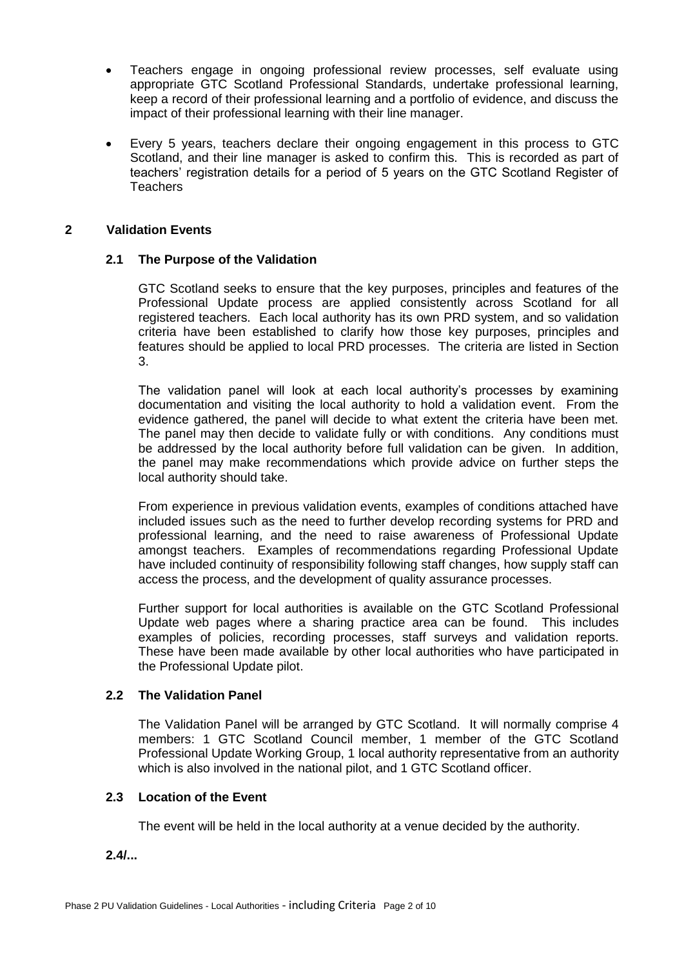- Teachers engage in ongoing professional review processes, self evaluate using appropriate GTC Scotland Professional Standards, undertake professional learning, keep a record of their professional learning and a portfolio of evidence, and discuss the impact of their professional learning with their line manager.
- Every 5 years, teachers declare their ongoing engagement in this process to GTC Scotland, and their line manager is asked to confirm this. This is recorded as part of teachers' registration details for a period of 5 years on the GTC Scotland Register of **Teachers**

#### **2 Validation Events**

#### **2.1 The Purpose of the Validation**

GTC Scotland seeks to ensure that the key purposes, principles and features of the Professional Update process are applied consistently across Scotland for all registered teachers. Each local authority has its own PRD system, and so validation criteria have been established to clarify how those key purposes, principles and features should be applied to local PRD processes. The criteria are listed in Section 3.

The validation panel will look at each local authority's processes by examining documentation and visiting the local authority to hold a validation event. From the evidence gathered, the panel will decide to what extent the criteria have been met. The panel may then decide to validate fully or with conditions. Any conditions must be addressed by the local authority before full validation can be given. In addition, the panel may make recommendations which provide advice on further steps the local authority should take.

From experience in previous validation events, examples of conditions attached have included issues such as the need to further develop recording systems for PRD and professional learning, and the need to raise awareness of Professional Update amongst teachers. Examples of recommendations regarding Professional Update have included continuity of responsibility following staff changes, how supply staff can access the process, and the development of quality assurance processes.

Further support for local authorities is available on the GTC Scotland Professional Update web pages where a sharing practice area can be found. This includes examples of policies, recording processes, staff surveys and validation reports. These have been made available by other local authorities who have participated in the Professional Update pilot.

#### **2.2 The Validation Panel**

The Validation Panel will be arranged by GTC Scotland. It will normally comprise 4 members: 1 GTC Scotland Council member, 1 member of the GTC Scotland Professional Update Working Group, 1 local authority representative from an authority which is also involved in the national pilot, and 1 GTC Scotland officer.

# **2.3 Location of the Event**

The event will be held in the local authority at a venue decided by the authority.

**2.4/...**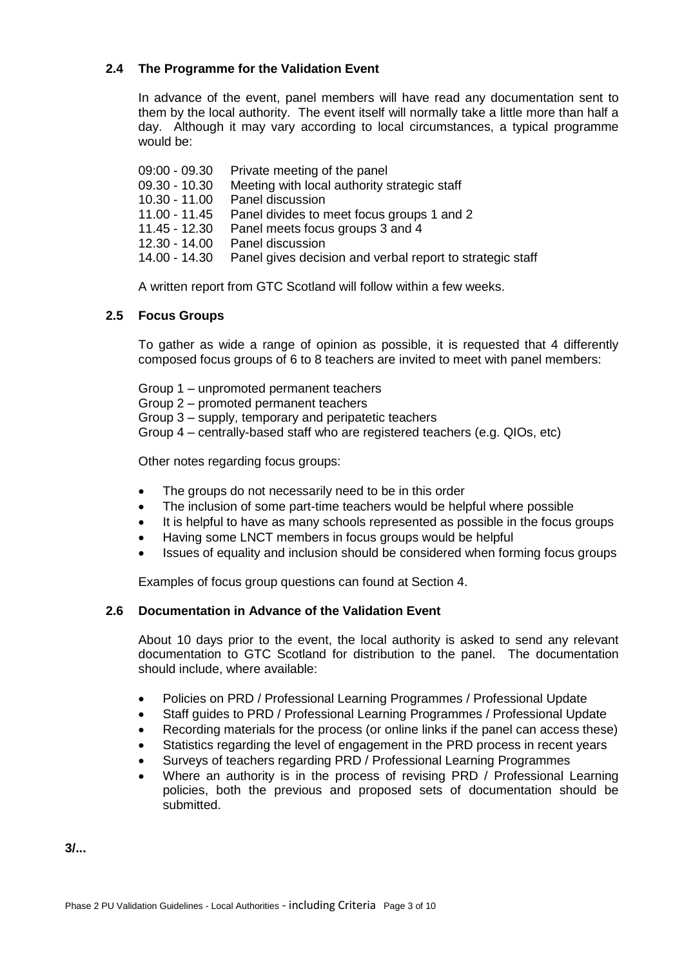# **2.4 The Programme for the Validation Event**

In advance of the event, panel members will have read any documentation sent to them by the local authority. The event itself will normally take a little more than half a day. Although it may vary according to local circumstances, a typical programme would be:

09:00 - 09.30 Private meeting of the panel 09.30 - 10.30 Meeting with local authority strategic staff 10.30 - 11.00 Panel discussion 11.00 - 11.45 Panel divides to meet focus groups 1 and 2 11.45 - 12.30 Panel meets focus groups 3 and 4 12.30 - 14.00 Panel discussion 14.00 - 14.30 Panel gives decision and verbal report to strategic staff

A written report from GTC Scotland will follow within a few weeks.

# **2.5 Focus Groups**

To gather as wide a range of opinion as possible, it is requested that 4 differently composed focus groups of 6 to 8 teachers are invited to meet with panel members:

Group 1 – unpromoted permanent teachers Group 2 – promoted permanent teachers Group 3 – supply, temporary and peripatetic teachers Group 4 – centrally-based staff who are registered teachers (e.g. QIOs, etc)

Other notes regarding focus groups:

- The groups do not necessarily need to be in this order
- The inclusion of some part-time teachers would be helpful where possible
- It is helpful to have as many schools represented as possible in the focus groups
- Having some LNCT members in focus groups would be helpful
- Issues of equality and inclusion should be considered when forming focus groups

Examples of focus group questions can found at Section 4.

# **2.6 Documentation in Advance of the Validation Event**

About 10 days prior to the event, the local authority is asked to send any relevant documentation to GTC Scotland for distribution to the panel. The documentation should include, where available:

- Policies on PRD / Professional Learning Programmes / Professional Update
- Staff guides to PRD / Professional Learning Programmes / Professional Update
- Recording materials for the process (or online links if the panel can access these)
- Statistics regarding the level of engagement in the PRD process in recent years
- Surveys of teachers regarding PRD / Professional Learning Programmes
- Where an authority is in the process of revising PRD / Professional Learning policies, both the previous and proposed sets of documentation should be submitted.

**3/...**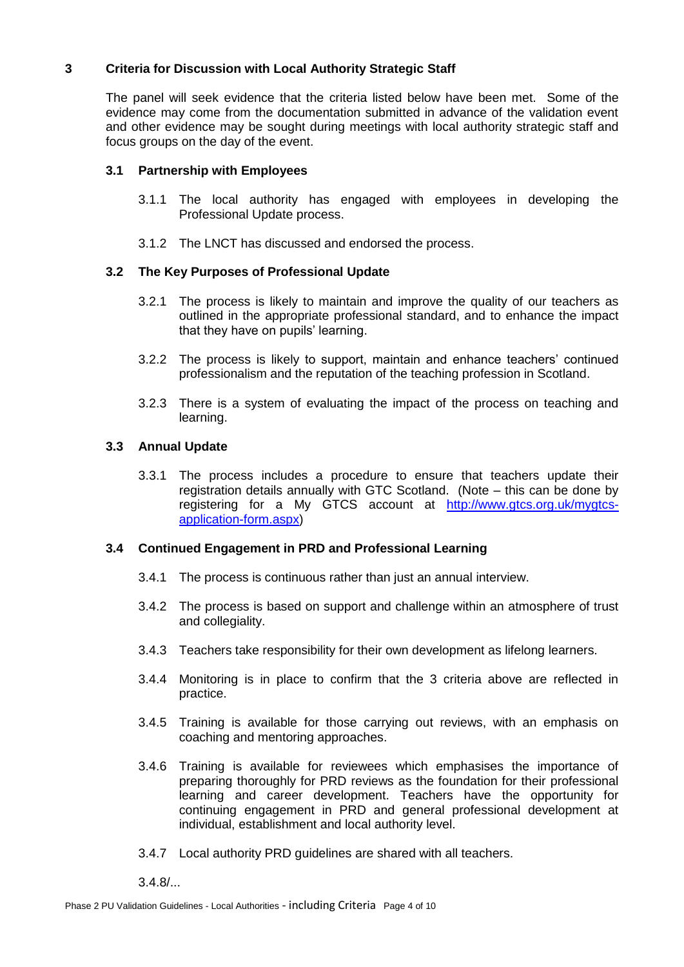# **3 Criteria for Discussion with Local Authority Strategic Staff**

The panel will seek evidence that the criteria listed below have been met. Some of the evidence may come from the documentation submitted in advance of the validation event and other evidence may be sought during meetings with local authority strategic staff and focus groups on the day of the event.

## **3.1 Partnership with Employees**

- 3.1.1 The local authority has engaged with employees in developing the Professional Update process.
- 3.1.2 The LNCT has discussed and endorsed the process.

# **3.2 The Key Purposes of Professional Update**

- 3.2.1 The process is likely to maintain and improve the quality of our teachers as outlined in the appropriate professional standard, and to enhance the impact that they have on pupils' learning.
- 3.2.2 The process is likely to support, maintain and enhance teachers' continued professionalism and the reputation of the teaching profession in Scotland.
- 3.2.3 There is a system of evaluating the impact of the process on teaching and learning.

# **3.3 Annual Update**

3.3.1 The process includes a procedure to ensure that teachers update their registration details annually with GTC Scotland. (Note – this can be done by registering for a My GTCS account at [http://www.gtcs.org.uk/mygtcs](http://www.gtcs.org.uk/mygtcs-application-form.aspx)[application-form.aspx\)](http://www.gtcs.org.uk/mygtcs-application-form.aspx)

## **3.4 Continued Engagement in PRD and Professional Learning**

- 3.4.1 The process is continuous rather than just an annual interview.
- 3.4.2 The process is based on support and challenge within an atmosphere of trust and collegiality.
- 3.4.3 Teachers take responsibility for their own development as lifelong learners.
- 3.4.4 Monitoring is in place to confirm that the 3 criteria above are reflected in practice.
- 3.4.5 Training is available for those carrying out reviews, with an emphasis on coaching and mentoring approaches.
- 3.4.6 Training is available for reviewees which emphasises the importance of preparing thoroughly for PRD reviews as the foundation for their professional learning and career development. Teachers have the opportunity for continuing engagement in PRD and general professional development at individual, establishment and local authority level.
- 3.4.7 Local authority PRD guidelines are shared with all teachers.

 $3.4.8/...$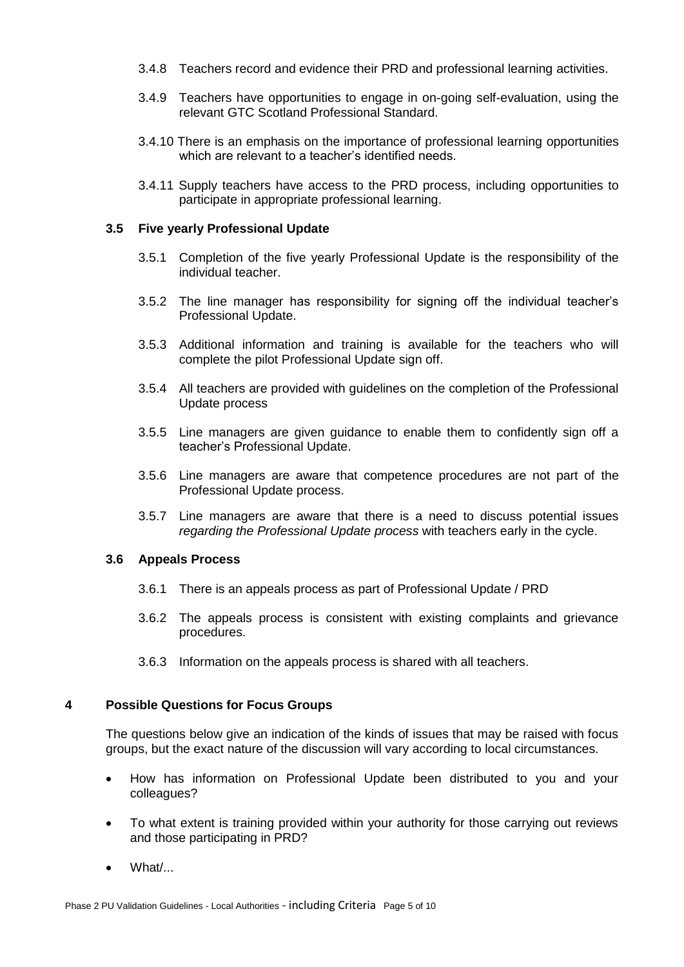- 3.4.8 Teachers record and evidence their PRD and professional learning activities.
- 3.4.9 Teachers have opportunities to engage in on-going self-evaluation, using the relevant GTC Scotland Professional Standard.
- 3.4.10 There is an emphasis on the importance of professional learning opportunities which are relevant to a teacher's identified needs.
- 3.4.11 Supply teachers have access to the PRD process, including opportunities to participate in appropriate professional learning.

#### **3.5 Five yearly Professional Update**

- 3.5.1 Completion of the five yearly Professional Update is the responsibility of the individual teacher.
- 3.5.2 The line manager has responsibility for signing off the individual teacher's Professional Update.
- 3.5.3 Additional information and training is available for the teachers who will complete the pilot Professional Update sign off.
- 3.5.4 All teachers are provided with guidelines on the completion of the Professional Update process
- 3.5.5 Line managers are given guidance to enable them to confidently sign off a teacher's Professional Update.
- 3.5.6 Line managers are aware that competence procedures are not part of the Professional Update process.
- 3.5.7 Line managers are aware that there is a need to discuss potential issues *regarding the Professional Update process* with teachers early in the cycle.

#### **3.6 Appeals Process**

- 3.6.1 There is an appeals process as part of Professional Update / PRD
- 3.6.2 The appeals process is consistent with existing complaints and grievance procedures.
- 3.6.3 Information on the appeals process is shared with all teachers.

## **4 Possible Questions for Focus Groups**

The questions below give an indication of the kinds of issues that may be raised with focus groups, but the exact nature of the discussion will vary according to local circumstances.

- How has information on Professional Update been distributed to you and your colleagues?
- To what extent is training provided within your authority for those carrying out reviews and those participating in PRD?
- What/...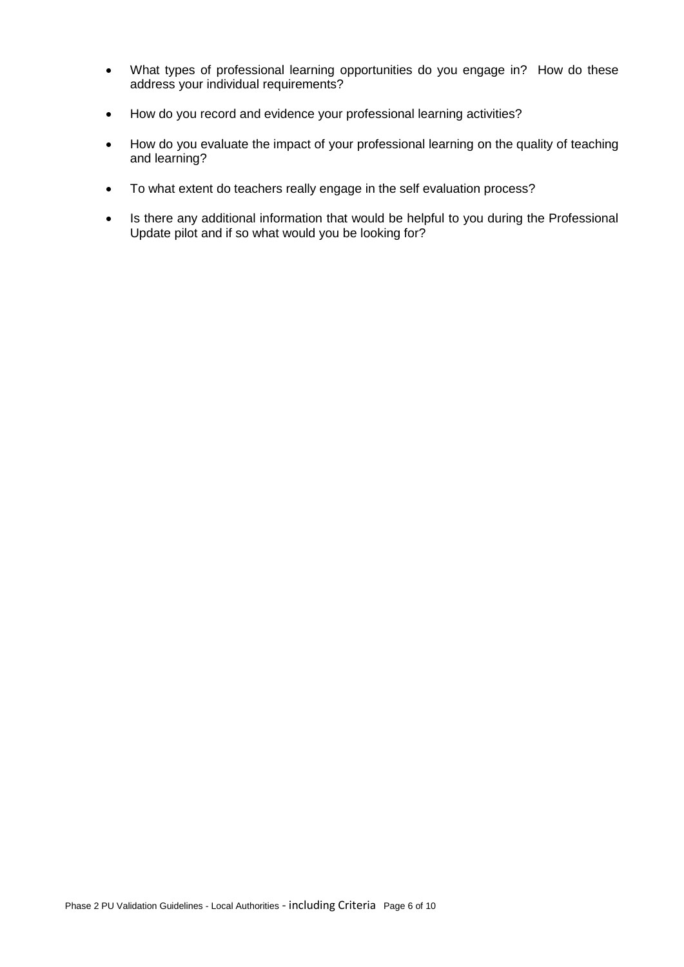- What types of professional learning opportunities do you engage in? How do these address your individual requirements?
- How do you record and evidence your professional learning activities?
- How do you evaluate the impact of your professional learning on the quality of teaching and learning?
- To what extent do teachers really engage in the self evaluation process?
- Is there any additional information that would be helpful to you during the Professional Update pilot and if so what would you be looking for?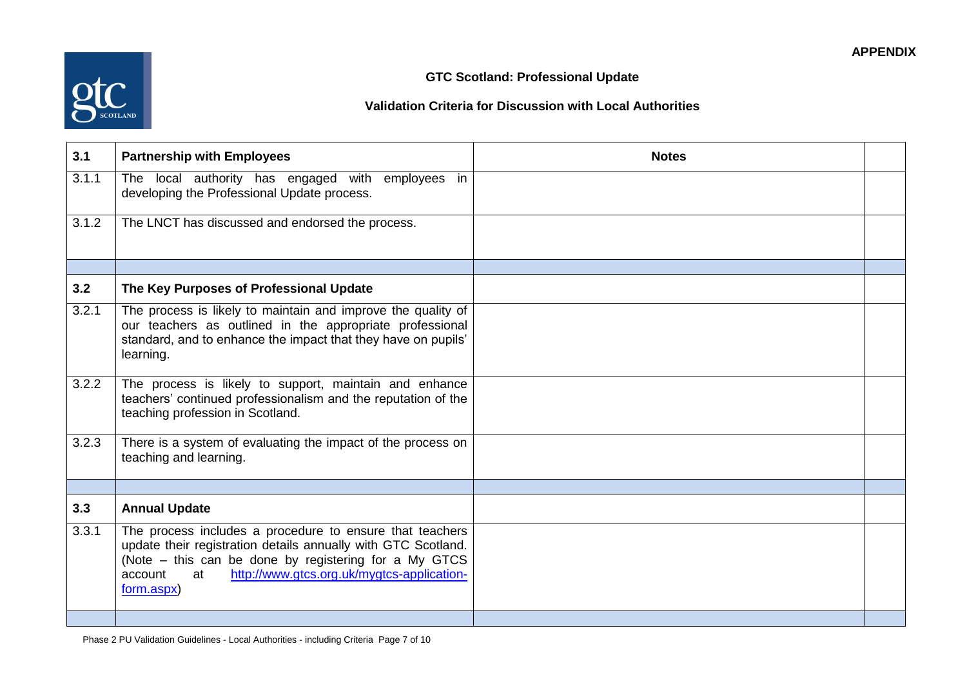# **Validation Criteria for Discussion with Local Authorities**

**GTC Scotland: Professional Update**

| 3.1   | <b>Partnership with Employees</b>                                                                                                                                                                                                                               | <b>Notes</b> |  |
|-------|-----------------------------------------------------------------------------------------------------------------------------------------------------------------------------------------------------------------------------------------------------------------|--------------|--|
| 3.1.1 | The local authority has engaged with employees in<br>developing the Professional Update process.                                                                                                                                                                |              |  |
| 3.1.2 | The LNCT has discussed and endorsed the process.                                                                                                                                                                                                                |              |  |
|       |                                                                                                                                                                                                                                                                 |              |  |
| 3.2   | The Key Purposes of Professional Update                                                                                                                                                                                                                         |              |  |
| 3.2.1 | The process is likely to maintain and improve the quality of<br>our teachers as outlined in the appropriate professional<br>standard, and to enhance the impact that they have on pupils'<br>learning.                                                          |              |  |
| 3.2.2 | The process is likely to support, maintain and enhance<br>teachers' continued professionalism and the reputation of the<br>teaching profession in Scotland.                                                                                                     |              |  |
| 3.2.3 | There is a system of evaluating the impact of the process on<br>teaching and learning.                                                                                                                                                                          |              |  |
|       |                                                                                                                                                                                                                                                                 |              |  |
| 3.3   | <b>Annual Update</b>                                                                                                                                                                                                                                            |              |  |
| 3.3.1 | The process includes a procedure to ensure that teachers<br>update their registration details annually with GTC Scotland.<br>(Note – this can be done by registering for a My GTCS<br>http://www.gtcs.org.uk/mygtcs-application-<br>account<br>at<br>form.aspx) |              |  |
|       |                                                                                                                                                                                                                                                                 |              |  |

Phase 2 PU Validation Guidelines - Local Authorities - including Criteria Page 7 of 10

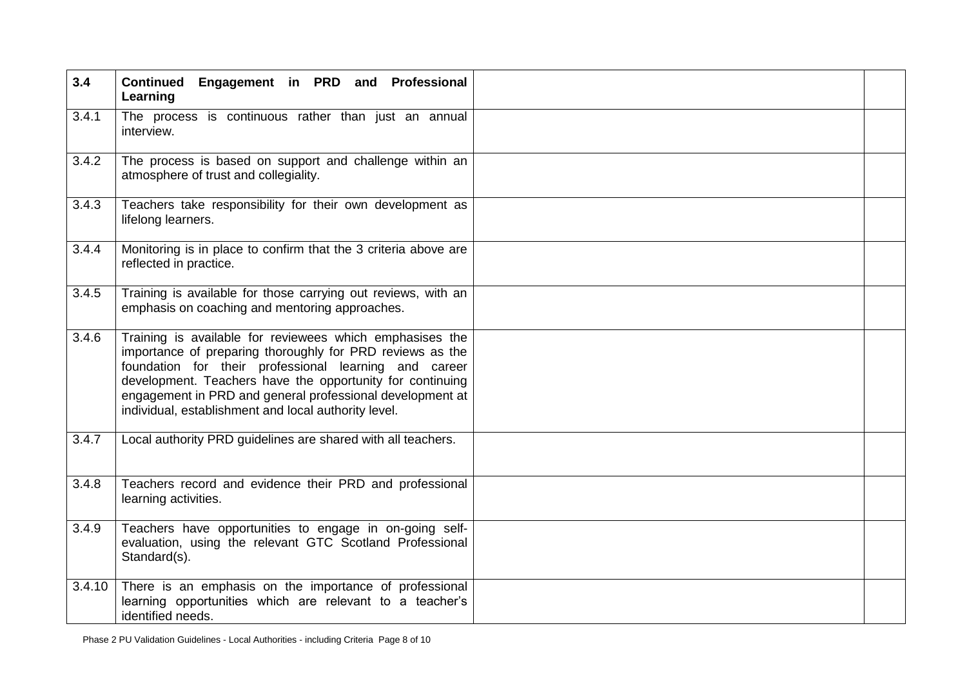| 3.4    | Continued Engagement in PRD and Professional<br>Learning                                                                                                                                                                                                                                                                                                         |  |
|--------|------------------------------------------------------------------------------------------------------------------------------------------------------------------------------------------------------------------------------------------------------------------------------------------------------------------------------------------------------------------|--|
| 3.4.1  | The process is continuous rather than just an annual<br>interview.                                                                                                                                                                                                                                                                                               |  |
| 3.4.2  | The process is based on support and challenge within an<br>atmosphere of trust and collegiality.                                                                                                                                                                                                                                                                 |  |
| 3.4.3  | Teachers take responsibility for their own development as<br>lifelong learners.                                                                                                                                                                                                                                                                                  |  |
| 3.4.4  | Monitoring is in place to confirm that the 3 criteria above are<br>reflected in practice.                                                                                                                                                                                                                                                                        |  |
| 3.4.5  | Training is available for those carrying out reviews, with an<br>emphasis on coaching and mentoring approaches.                                                                                                                                                                                                                                                  |  |
| 3.4.6  | Training is available for reviewees which emphasises the<br>importance of preparing thoroughly for PRD reviews as the<br>foundation for their professional learning and career<br>development. Teachers have the opportunity for continuing<br>engagement in PRD and general professional development at<br>individual, establishment and local authority level. |  |
| 3.4.7  | Local authority PRD guidelines are shared with all teachers.                                                                                                                                                                                                                                                                                                     |  |
| 3.4.8  | Teachers record and evidence their PRD and professional<br>learning activities.                                                                                                                                                                                                                                                                                  |  |
| 3.4.9  | Teachers have opportunities to engage in on-going self-<br>evaluation, using the relevant GTC Scotland Professional<br>Standard(s).                                                                                                                                                                                                                              |  |
| 3.4.10 | There is an emphasis on the importance of professional<br>learning opportunities which are relevant to a teacher's<br>identified needs.                                                                                                                                                                                                                          |  |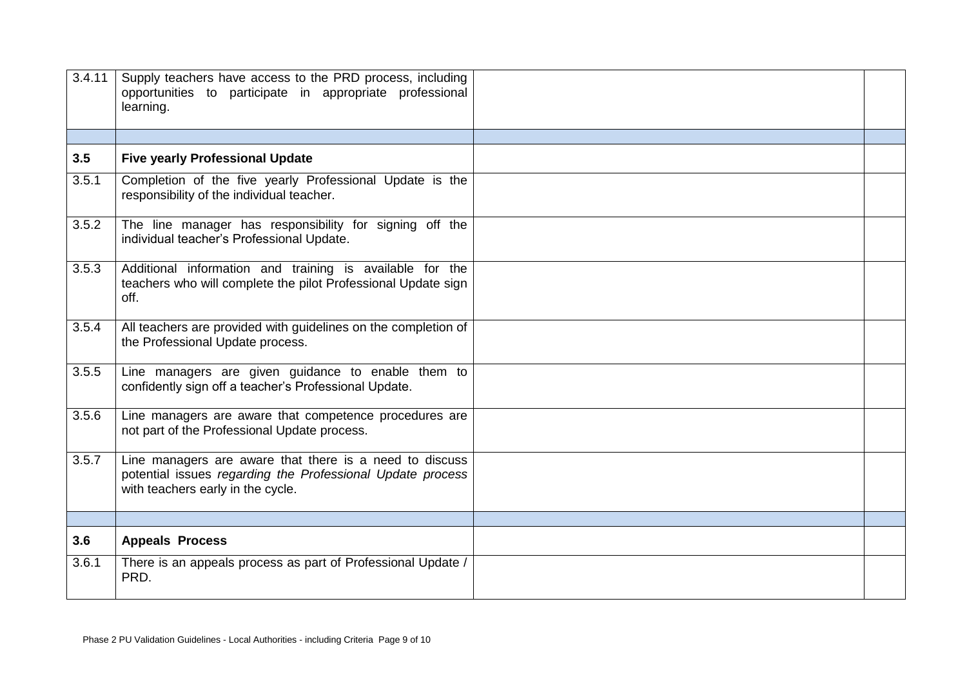| 3.4.11 | Supply teachers have access to the PRD process, including<br>opportunities to participate in appropriate professional<br>learning.                         |  |
|--------|------------------------------------------------------------------------------------------------------------------------------------------------------------|--|
|        |                                                                                                                                                            |  |
| 3.5    | <b>Five yearly Professional Update</b>                                                                                                                     |  |
| 3.5.1  | Completion of the five yearly Professional Update is the<br>responsibility of the individual teacher.                                                      |  |
| 3.5.2  | The line manager has responsibility for signing off the<br>individual teacher's Professional Update.                                                       |  |
| 3.5.3  | Additional information and training is available for the<br>teachers who will complete the pilot Professional Update sign<br>off.                          |  |
| 3.5.4  | All teachers are provided with guidelines on the completion of<br>the Professional Update process.                                                         |  |
| 3.5.5  | Line managers are given guidance to enable them to<br>confidently sign off a teacher's Professional Update.                                                |  |
| 3.5.6  | Line managers are aware that competence procedures are<br>not part of the Professional Update process.                                                     |  |
| 3.5.7  | Line managers are aware that there is a need to discuss<br>potential issues regarding the Professional Update process<br>with teachers early in the cycle. |  |
|        |                                                                                                                                                            |  |
| 3.6    | <b>Appeals Process</b>                                                                                                                                     |  |
| 3.6.1  | There is an appeals process as part of Professional Update /<br>PRD.                                                                                       |  |